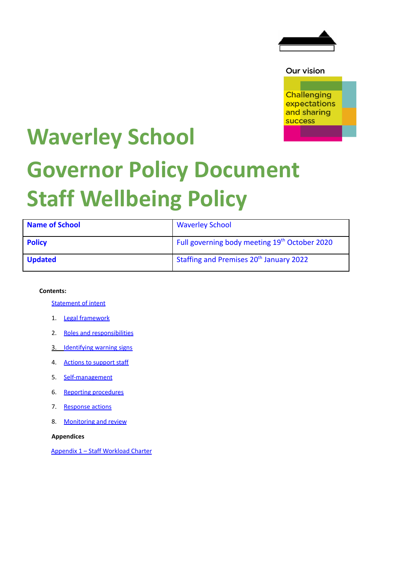

Our vision

**Challenging** expectations and sharing **success** 

# **Waverley School Governor Policy Document Staff Wellbeing Policy**

| <b>Name of School</b> | <b>Waverley School</b>                              |
|-----------------------|-----------------------------------------------------|
| <b>Policy</b>         | Full governing body meeting 19th October 2020       |
| <b>Updated</b>        | Staffing and Premises 20 <sup>th</sup> January 2022 |

### **Contents:**

[Statement](#page-9-0) of intent

- 1. Legal [framework](#page-9-0)
- 2. Roles and responsibilities
- 3. Identifying warning signs
- 4. Actions to support staff
- 5. Self-management
- 6. Reporting procedures
- 7. Response actions
- 8. Monitoring and review

**Appendices**

Appendix 1 – Staff Workload Charter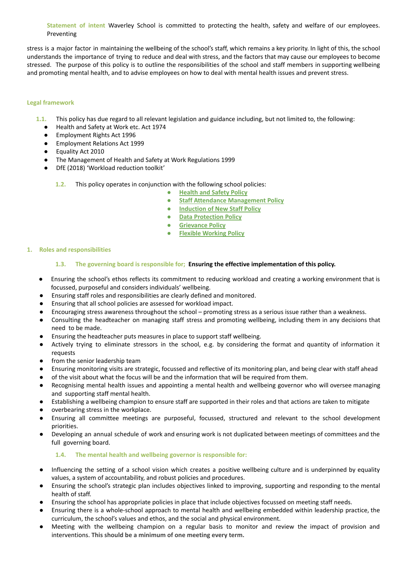**Statement of intent** Waverley School is committed to protecting the health, safety and welfare of our employees. Preventing

stress is a major factor in maintaining the wellbeing of the school's staff, which remains a key priority. In light of this, the school understands the importance of trying to reduce and deal with stress, and the factors that may cause our employees to become stressed. The purpose of this policy is to outline the responsibilities of the school and staff members in supporting wellbeing and promoting mental health, and to advise employees on how to deal with mental health issues and prevent stress.

#### **Legal framework**

- **1.1.** This policy has due regard to all relevant legislation and guidance including, but not limited to, the following:
	- Health and Safety at Work etc. Act 1974
	- Employment Rights Act 1996
	- Employment Relations Act 1999
	- Equality Act 2010
	- The Management of Health and Safety at Work Regulations 1999
	- DfE (2018) 'Workload reduction toolkit'
		- **1.2.** This policy operates in conjunction with the following school policies:
			- **Health and Safety Policy**
			- **Staff Attendance Management Policy**
			- **Induction of New Staff Policy**
			- **Data Protection Policy**
			- **Grievance Policy**
			- **Flexible Working Policy**

### **1. Roles and responsibilities**

### **1.3. The governing board is responsible for; Ensuring the effective implementation of this policy.**

- Ensuring the school's ethos reflects its commitment to reducing workload and creating a working environment that is focussed, purposeful and considers individuals' wellbeing.
- Ensuring staff roles and responsibilities are clearly defined and monitored.
- Ensuring that all school policies are assessed for workload impact.
- Encouraging stress awareness throughout the school promoting stress as a serious issue rather than a weakness.
- Consulting the headteacher on managing staff stress and promoting wellbeing, including them in any decisions that need to be made.
- Ensuring the headteacher puts measures in place to support staff wellbeing.
- Actively trying to eliminate stressors in the school, e.g. by considering the format and quantity of information it requests
- from the senior leadership team
- Ensuring monitoring visits are strategic, focussed and reflective of its monitoring plan, and being clear with staff ahead
- of the visit about what the focus will be and the information that will be required from them.
- Recognising mental health issues and appointing a mental health and wellbeing governor who will oversee managing and supporting staff mental health.
- Establishing a wellbeing champion to ensure staff are supported in their roles and that actions are taken to mitigate
- overbearing stress in the workplace.
- Ensuring all committee meetings are purposeful, focussed, structured and relevant to the school development priorities.
- Developing an annual schedule of work and ensuring work is not duplicated between meetings of committees and the full governing board.

### **1.4. The mental health and wellbeing governor is responsible for:**

- Influencing the setting of a school vision which creates a positive wellbeing culture and is underpinned by equality values, a system of accountability, and robust policies and procedures.
- Ensuring the school's strategic plan includes objectives linked to improving, supporting and responding to the mental health of staff.
- Ensuring the school has appropriate policies in place that include objectives focussed on meeting staff needs.
- Ensuring there is a whole-school approach to mental health and wellbeing embedded within leadership practice, the curriculum, the school's values and ethos, and the social and physical environment.
- Meeting with the wellbeing champion on a regular basis to monitor and review the impact of provision and interventions. **This should be a minimum of one meeting every term.**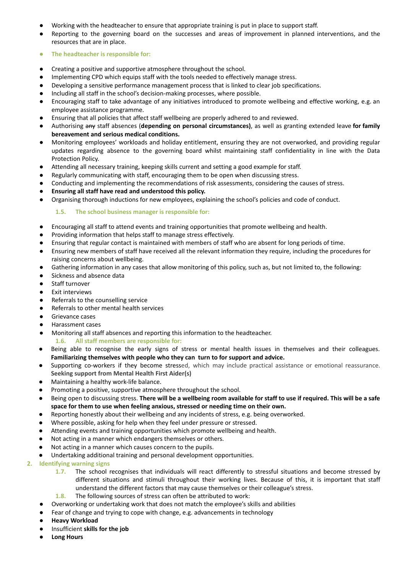- Working with the headteacher to ensure that appropriate training is put in place to support staff.
- Reporting to the governing board on the successes and areas of improvement in planned interventions, and the resources that are in place.
- **● The headteacher is responsible for:**
- Creating a positive and supportive atmosphere throughout the school.
- Implementing CPD which equips staff with the tools needed to effectively manage stress.
- Developing a sensitive performance management process that is linked to clear job specifications.
- Including all staff in the school's decision-making processes, where possible.
- Encouraging staff to take advantage of any initiatives introduced to promote wellbeing and effective working, e.g. an employee assistance programme.
- Ensuring that all policies that affect staff wellbeing are properly adhered to and reviewed.
- Authorising any staff absences (**depending on personal circumstances)**, as well as granting extended leave **for family bereavement and serious medical conditions.**
- Monitoring employees' workloads and holiday entitlement, ensuring they are not overworked, and providing regular updates regarding absence to the governing board whilst maintaining staff confidentiality in line with the Data Protection Policy.
- Attending all necessary training, keeping skills current and setting a good example for staff.
- Regularly communicating with staff, encouraging them to be open when discussing stress.
- Conducting and implementing the recommendations of risk assessments, considering the causes of stress.
- **● Ensuring all staff have read and understood this policy.**
- Organising thorough inductions for new employees, explaining the school's policies and code of conduct.

## **1.5. The school business manager is responsible for:**

- Encouraging all staff to attend events and training opportunities that promote wellbeing and health.
- Providing information that helps staff to manage stress effectively.
- Ensuring that regular contact is maintained with members of staff who are absent for long periods of time.
- Ensuring new members of staff have received all the relevant information they require, including the procedures for raising concerns about wellbeing.
- Gathering information in any cases that allow monitoring of this policy, such as, but not limited to, the following:
- Sickness and absence data
- Staff turnover
- Exit interviews
- Referrals to the counselling service
- Referrals to other mental health services
- Grievance cases
- Harassment cases
- Monitoring all staff absences and reporting this information to the headteacher. **1.6. All staff members are responsible for:**
- Being able to recognise the early signs of stress or mental health issues in themselves and their colleagues. **Familiarizing themselves with people who they can turn to for support and advice.**
- Supporting co-workers if they become stressed, which may include practical assistance or emotional reassurance. **Seeking support from Mental Health First Aider(s)**
- Maintaining a healthy work-life balance.
- Promoting a positive, supportive atmosphere throughout the school.
- Being open to discussing stress. There will be a wellbeing room available for staff to use if required. This will be a safe **space for them to use when feeling anxious, stressed or needing time on their own.**
- Reporting honestly about their wellbeing and any incidents of stress, e.g. being overworked.
- Where possible, asking for help when they feel under pressure or stressed.
- Attending events and training opportunities which promote wellbeing and health.
- Not acting in a manner which endangers themselves or others.
- Not acting in a manner which causes concern to the pupils.
- Undertaking additional training and personal development opportunities.
- **2. Identifying warning signs**
	- **1.7.** The school recognises that individuals will react differently to stressful situations and become stressed by different situations and stimuli throughout their working lives. Because of this, it is important that staff understand the different factors that may cause themselves or their colleague's stress.
	- **1.8.** The following sources of stress can often be attributed to work:
	- Overworking or undertaking work that does not match the employee's skills and abilities
	- Fear of change and trying to cope with change, e.g. advancements in technology
	- **● Heavy Workload**
	- Insufficient **skills for the job**
	- **● Long Hours**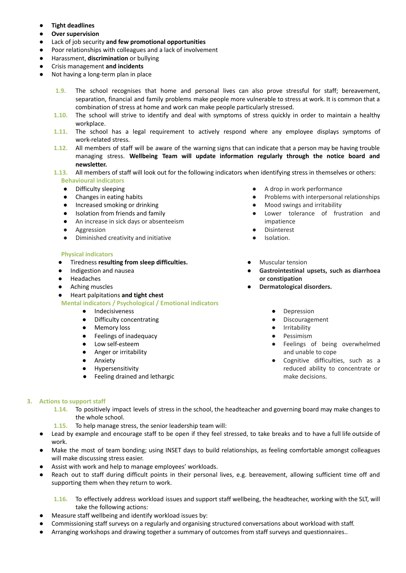- **● Tight deadlines**
- **● Over supervision**
- Lack of job security **and few promotional opportunities**
- Poor relationships with colleagues and a lack of involvement
- Harassment, **discrimination** or bullying
- **●** Crisis management **and incidents**
- Not having a long-term plan in place
	- **1.9.** The school recognises that home and personal lives can also prove stressful for staff; bereavement, separation, financial and family problems make people more vulnerable to stress at work. It is common that a combination of stress at home and work can make people particularly stressed.
	- **1.10.** The school will strive to identify and deal with symptoms of stress quickly in order to maintain a healthy workplace.
	- **1.11.** The school has a legal requirement to actively respond where any employee displays symptoms of work-related stress.
	- **1.12.** All members of staff will be aware of the warning signs that can indicate that a person may be having trouble managing stress. **Wellbeing Team will update information regularly through the notice board and newsletter.**
	- **1.13.** All members of staff will look out for the following indicators when identifying stress in themselves or others: **Behavioural indicators**
		- Difficulty sleeping
		- Changes in eating habits
		- Increased smoking or drinking
		- Isolation from friends and family
		- An increase in sick days or absenteeism
		- Aggression
		- Diminished creativity and initiative

### **Physical indicators**

- Tiredness **resulting from sleep difficulties.**
- Indigestion and nausea
- **Headaches**
- Aching muscles
- Heart palpitations **and tight chest**

**Mental indicators / Psychological / Emotional indicators**

- Indecisiveness
- Difficulty concentrating
- Memory loss
- Feelings of inadequacy
- Low self-esteem
- Anger or irritability
- Anxiety
- Hypersensitivity
- Feeling drained and lethargic
- A drop in work performance
- Problems with interpersonal relationships
- Mood swings and irritability
- Lower tolerance of frustration and impatience
- **Disinterest**
- Isolation.
- **Muscular tension**
- **Gastrointestinal upsets, such as diarrhoea or constipation**
- **Dermatological disorders.**
	- Depression
	- Discouragement
	- **Irritability**
	- Pessimism
	- Feelings of being overwhelmed and unable to cope
	- Cognitive difficulties, such as a reduced ability to concentrate or make decisions.

### **3. Actions to support staff**

- **1.14.** To positively impact levels of stress in the school, the headteacher and governing board may make changes to the whole school.
- **1.15.** To help manage stress, the senior leadership team will:
- Lead by example and encourage staff to be open if they feel stressed, to take breaks and to have a full life outside of work.
- Make the most of team bonding; using INSET days to build relationships, as feeling comfortable amongst colleagues will make discussing stress easier.
- Assist with work and help to manage employees' workloads.
- Reach out to staff during difficult points in their personal lives, e.g. bereavement, allowing sufficient time off and supporting them when they return to work.

**1.16.** To effectively address workload issues and support staff wellbeing, the headteacher, working with the SLT, will take the following actions:

- Measure staff wellbeing and identify workload issues by:
- Commissioning staff [surveys](https://www.theschoolbus.net/article/teacher-workload-survey/6248) on a regularly and organising structured conversations about workload with staff.
- Arranging workshops and drawing together a summary of outcomes from staff surveys and questionnaires..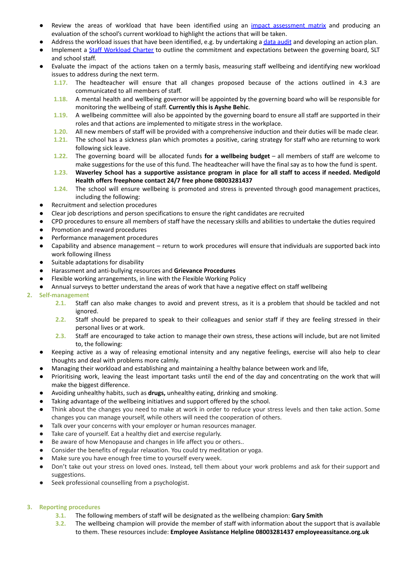- Review the areas of workload that have been identified using an impact [assessment](https://www.theschoolbus.net/article/workload-impact-assessment-matrix/6251) matrix and producing an evaluation of the school's current workload to highlight the actions that will be taken.
- Address the workload issues that have been identified, e.g. by undertaking a data [audit](https://www.theschoolbus.net/article/data-collection-audit-and-action-plan/6246) and developing an action plan.
- Implement a Staff Workload Charter to outline the commitment and expectations between the governing board, SLT and school staff.
- Evaluate the impact of the actions taken on a termly basis, measuring staff wellbeing and identifying new workload issues to address during the next term.
	- **1.17.** The headteacher will ensure that all changes proposed because of the actions outlined in 4.3 are communicated to all members of staff.
	- **1.18.** A mental health and wellbeing governor will be appointed by the governing board who will be responsible for monitoring the wellbeing of staff. **Currently this is Ayshe Behic**.
	- **1.19.** A wellbeing committee will also be appointed by the governing board to ensure all staff are supported in their roles and that actions are implemented to mitigate stress in the workplace.
	- **1.20.** All new members of staff will be provided with a comprehensive induction and their duties will be made clear.
	- **1.21.** The school has a sickness plan which promotes a positive, caring strategy for staff who are returning to work following sick leave.
	- **1.22.** The governing board will be allocated funds **for a wellbeing budget** all members of staff are welcome to make suggestions for the use of this fund. The headteacher will have the final say as to how the fund is spent.
	- 1.23. Waverley School has a supportive assistance program in place for all staff to access if needed. Medigold **Health offers freephone contact 24/7 free phone 08003281437**
	- **1.24.** The school will ensure wellbeing is promoted and stress is prevented through good management practices, including the following:
- Recruitment and selection procedures
- Clear job descriptions and person specifications to ensure the right candidates are recruited
- CPD procedures to ensure all members of staff have the necessary skills and abilities to undertake the duties required
- Promotion and reward procedures
- Performance management procedures
- Capability and absence management return to work procedures will ensure that individuals are supported back into work following illness
- Suitable adaptations for disability
- Harassment and anti-bullying resources and **Grievance Procedures**
- Flexible working arrangements, in line with the Flexible Working Policy
- Annual surveys to better understand the areas of work that have a negative effect on staff wellbeing

### **2. Self-management**

- **2.1.** Staff can also make changes to avoid and prevent stress, as it is a problem that should be tackled and not ignored.
- **2.2.** Staff should be prepared to speak to their colleagues and senior staff if they are feeling stressed in their personal lives or at work.
- **2.3.** Staff are encouraged to take action to manage their own stress, these actions will include, but are not limited to, the following:
- Keeping active as a way of releasing emotional intensity and any negative feelings, exercise will also help to clear thoughts and deal with problems more calmly.
- Managing their workload and establishing and maintaining a healthy balance between work and life,
- Prioritising work, leaving the least important tasks until the end of the day and concentrating on the work that will make the biggest difference.
- Avoiding unhealthy habits, such as **drugs,** unhealthy eating, drinking and smoking.
- Taking advantage of the wellbeing initiatives and support offered by the school.
- Think about the changes you need to make at work in order to reduce your stress levels and then take action. Some changes you can manage yourself, while others will need the cooperation of others.
- Talk over your concerns with your employer or human resources manager.
- Take care of yourself. Eat a healthy diet and exercise regularly.
- Be aware of how Menopause and changes in life affect you or others..
- Consider the benefits of regular relaxation. You could try meditation or yoga.
- Make sure you have enough free time to yourself every week.
- Don't take out your stress on loved ones. Instead, tell them about your work problems and ask for their support and suggestions.
- Seek professional counselling from a psychologist.

# **3. Reporting procedures**

- **3.1.** The following members of staff will be designated as the wellbeing champion: **Gary Smith**
- **3.2.** The wellbeing champion will provide the member of staff with information about the support that is available to them. These resources include: **Employee Assistance Helpline 08003281437 employeeassitance.org.uk**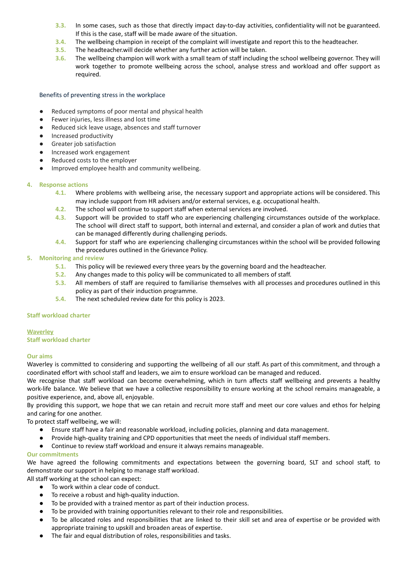- **3.3.** In some cases, such as those that directly impact day-to-day activities, confidentiality will not be guaranteed. If this is the case, staff will be made aware of the situation.
- **3.4.** The wellbeing champion in receipt of the complaint will investigate and report this to the headteacher.
- **3.5.** The headteacher.will decide whether any further action will be taken.
- **3.6.** The wellbeing champion will work with a small team of staff including the school wellbeing governor. They will work together to promote wellbeing across the school, analyse stress and workload and offer support as required.

#### Benefits of preventing stress in the workplace

- Reduced symptoms of poor mental and physical health
- Fewer injuries, less illness and lost time
- Reduced sick leave usage, absences and staff turnover
- Increased productivity
- Greater job satisfaction
- Increased work engagement
- Reduced costs to the employer
- Improved employee health and community wellbeing.

### **4. Response actions**

- **4.1.** Where problems with wellbeing arise, the necessary support and appropriate actions will be considered. This may include support from HR advisers and/or external services, e.g. occupational health.
- **4.2.** The school will continue to support staff when external services are involved.
- **4.3.** Support will be provided to staff who are experiencing challenging circumstances outside of the workplace. The school will direct staff to support, both internal and external, and consider a plan of work and duties that can be managed differently during challenging periods.
- **4.4.** Support for staff who are experiencing challenging circumstances within the school will be provided following the procedures outlined in the Grievance Policy.

### **5. Monitoring and review**

- **5.1.** This policy will be reviewed every three years by the governing board and the headteacher.
- **5.2.** Any changes made to this policy will be communicated to all members of staff.
- **5.3.** All members of staff are required to familiarise themselves with all processes and procedures outlined in this policy as part of their induction programme.
- **5.4.** The next scheduled review date for this policy is 2023.

### **Staff workload charter**

### **Waverley**

**Staff workload charter**

### **Our aims**

Waverley is committed to considering and supporting the wellbeing of all our staff. As part of this commitment, and through a coordinated effort with school staff and leaders, we aim to ensure workload can be managed and reduced.

We recognise that staff workload can become overwhelming, which in turn affects staff wellbeing and prevents a healthy work-life balance. We believe that we have a collective responsibility to ensure working at the school remains manageable, a positive experience, and, above all, enjoyable.

By providing this support, we hope that we can retain and recruit more staff and meet our core values and ethos for helping and caring for one another.

To protect staff wellbeing, we will:

- Ensure staff have a fair and reasonable workload, including policies, planning and data management.
- Provide high-quality training and CPD opportunities that meet the needs of individual staff members.
- Continue to review staff workload and ensure it always remains manageable.

### **Our commitments**

We have agreed the following commitments and expectations between the governing board, SLT and school staff, to demonstrate our support in helping to manage staff workload.

All staff working at the school can expect:

- To work within a clear code of conduct.
- To receive a robust and high-quality induction.
- To be provided with a trained mentor as part of their induction process.
- To be provided with training opportunities relevant to their role and responsibilities.
- To be allocated roles and responsibilities that are linked to their skill set and area of expertise or be provided with appropriate training to upskill and broaden areas of expertise.
- The fair and equal distribution of roles, responsibilities and tasks.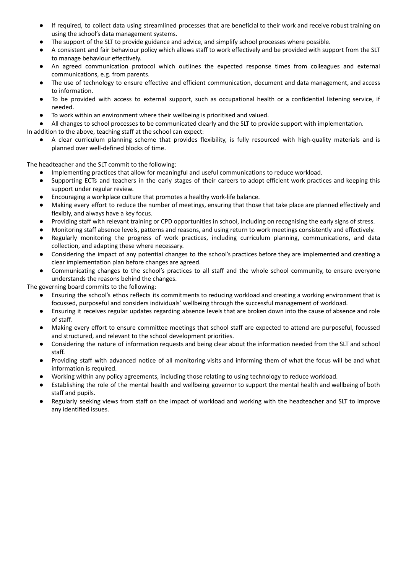- If required, to collect data using streamlined processes that are beneficial to their work and receive robust training on using the school's data management systems.
- The support of the SLT to provide guidance and advice, and simplify school processes where possible.
- A consistent and fair behaviour policy which allows staff to work effectively and be provided with support from the SLT to manage behaviour effectively.
- An agreed communication protocol which outlines the expected response times from colleagues and external communications, e.g. from parents.
- The use of technology to ensure effective and efficient communication, document and data management, and access to information.
- To be provided with access to external support, such as occupational health or a confidential listening service, if needed.
- To work within an environment where their wellbeing is prioritised and valued.

● All changes to school processes to be communicated clearly and the SLT to provide support with implementation.

In addition to the above, teaching staff at the school can expect:

● A clear curriculum planning scheme that provides flexibility, is fully resourced with high-quality materials and is planned over well-defined blocks of time.

The headteacher and the SLT commit to the following:

- Implementing practices that allow for meaningful and useful communications to reduce workload.
- Supporting ECTs and teachers in the early stages of their careers to adopt efficient work practices and keeping this support under regular review.
- Encouraging a workplace culture that promotes a healthy work-life balance.
- Making every effort to reduce the number of meetings, ensuring that those that take place are planned effectively and flexibly, and always have a key focus.
- Providing staff with relevant training or CPD opportunities in school, including on recognising the early signs of stress.
- Monitoring staff absence levels, patterns and reasons, and using return to work meetings consistently and effectively.
- Regularly monitoring the progress of work practices, including curriculum planning, communications, and data collection, and adapting these where necessary.
- Considering the impact of any potential changes to the school's practices before they are implemented and creating a clear implementation plan before changes are agreed.
- Communicating changes to the school's practices to all staff and the whole school community, to ensure everyone understands the reasons behind the changes.

The governing board commits to the following:

- Ensuring the school's ethos reflects its commitments to reducing workload and creating a working environment that is focussed, purposeful and considers individuals' wellbeing through the successful management of workload.
- Ensuring it receives regular updates regarding absence levels that are broken down into the cause of absence and role of staff.
- Making every effort to ensure committee meetings that school staff are expected to attend are purposeful, focussed and structured, and relevant to the school development priorities.
- Considering the nature of information requests and being clear about the information needed from the SLT and school staff.
- Providing staff with advanced notice of all monitoring visits and informing them of what the focus will be and what information is required.
- Working within any policy agreements, including those relating to using technology to reduce workload.
- Establishing the role of the mental health and wellbeing governor to support the mental health and wellbeing of both staff and pupils.
- Regularly seeking views from staff on the impact of workload and working with the headteacher and SLT to improve any identified issues.